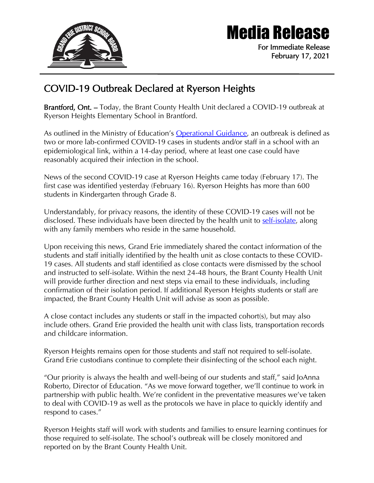

## Media Release

For Immediate Release February 17, 2021

## COVID-19 Outbreak Declared at Ryerson Heights

Brantford, Ont. – Today, the Brant County Health Unit declared a COVID-19 outbreak at Ryerson Heights Elementary School in Brantford.

As outlined in the Ministry of Education's [Operational Guidance,](https://www.ontario.ca/page/operational-guidance-covid-19-management-schools) an outbreak is defined as two or more lab-confirmed COVID-19 cases in students and/or staff in a school with an epidemiological link, within a 14-day period, where at least one case could have reasonably acquired their infection in the school.

News of the second COVID-19 case at Ryerson Heights came today (February 17). The first case was identified yesterday (February 16). Ryerson Heights has more than 600 students in Kindergarten through Grade 8.

Understandably, for privacy reasons, the identity of these COVID-19 cases will not be disclosed. These individuals have been directed by the health unit to [self-isolate,](https://www.publichealthontario.ca/-/media/documents/ncov/factsheet-covid-19-how-to-self-isolate.pdf?la=en) along with any family members who reside in the same household.

Upon receiving this news, Grand Erie immediately shared the contact information of the students and staff initially identified by the health unit as close contacts to these COVID-19 cases. All students and staff identified as close contacts were dismissed by the school and instructed to self-isolate. Within the next 24-48 hours, the Brant County Health Unit will provide further direction and next steps via email to these individuals, including confirmation of their isolation period. If additional Ryerson Heights students or staff are impacted, the Brant County Health Unit will advise as soon as possible.

A close contact includes any students or staff in the impacted cohort(s), but may also include others. Grand Erie provided the health unit with class lists, transportation records and childcare information.

Ryerson Heights remains open for those students and staff not required to self-isolate. Grand Erie custodians continue to complete their disinfecting of the school each night.

"Our priority is always the health and well-being of our students and staff," said JoAnna Roberto, Director of Education. "As we move forward together, we'll continue to work in partnership with public health. We're confident in the preventative measures we've taken to deal with COVID-19 as well as the protocols we have in place to quickly identify and respond to cases."

Ryerson Heights staff will work with students and families to ensure learning continues for those required to self-isolate. The school's outbreak will be closely monitored and reported on by the Brant County Health Unit.